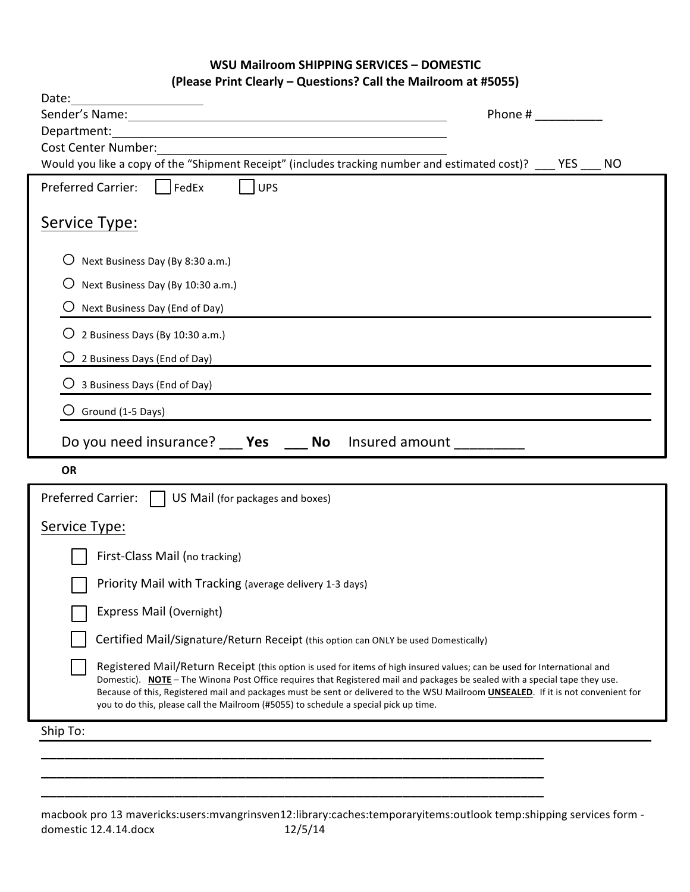## **WSU Mailroom SHIPPING SERVICES - DOMESTIC (Please Print Clearly – Questions? Call the Mailroom at #5055)**

| Date:<br><u> 1989 - Andrea Station, politik eta provincia eta provincia eta provincia eta provincia eta provincia eta pro</u>                                                                                                                                                                                                                                                                                                                                                                                                                                                      |
|------------------------------------------------------------------------------------------------------------------------------------------------------------------------------------------------------------------------------------------------------------------------------------------------------------------------------------------------------------------------------------------------------------------------------------------------------------------------------------------------------------------------------------------------------------------------------------|
| Sender's Name: 1999 Contract Contract Contract Contract Contract Contract Contract Contract Contract Contract Contract Contract Contract Contract Contract Contract Contract Contract Contract Contract Contract Contract Cont<br>Phone #                                                                                                                                                                                                                                                                                                                                          |
| Department:<br><b>Cost Center Number:</b>                                                                                                                                                                                                                                                                                                                                                                                                                                                                                                                                          |
| Would you like a copy of the "Shipment Receipt" (includes tracking number and estimated cost)? ____ YES _<br><b>NO</b>                                                                                                                                                                                                                                                                                                                                                                                                                                                             |
| UPS<br>$\Box$ FedEx<br><b>Preferred Carrier:</b>                                                                                                                                                                                                                                                                                                                                                                                                                                                                                                                                   |
| Service Type:                                                                                                                                                                                                                                                                                                                                                                                                                                                                                                                                                                      |
| Next Business Day (By 8:30 a.m.)                                                                                                                                                                                                                                                                                                                                                                                                                                                                                                                                                   |
| Next Business Day (By 10:30 a.m.)<br>Ő                                                                                                                                                                                                                                                                                                                                                                                                                                                                                                                                             |
| Next Business Day (End of Day)                                                                                                                                                                                                                                                                                                                                                                                                                                                                                                                                                     |
| 2 Business Days (By 10:30 a.m.)                                                                                                                                                                                                                                                                                                                                                                                                                                                                                                                                                    |
| 2 Business Days (End of Day)                                                                                                                                                                                                                                                                                                                                                                                                                                                                                                                                                       |
| 3 Business Days (End of Day)                                                                                                                                                                                                                                                                                                                                                                                                                                                                                                                                                       |
| Ground (1-5 Days)                                                                                                                                                                                                                                                                                                                                                                                                                                                                                                                                                                  |
| Do you need insurance? ____ Yes ____ No lnsured amount ________                                                                                                                                                                                                                                                                                                                                                                                                                                                                                                                    |
| <b>OR</b>                                                                                                                                                                                                                                                                                                                                                                                                                                                                                                                                                                          |
|                                                                                                                                                                                                                                                                                                                                                                                                                                                                                                                                                                                    |
| <b>Preferred Carrier:</b><br>US Mail (for packages and boxes)                                                                                                                                                                                                                                                                                                                                                                                                                                                                                                                      |
| Service Type:                                                                                                                                                                                                                                                                                                                                                                                                                                                                                                                                                                      |
| First-Class Mail (no tracking)                                                                                                                                                                                                                                                                                                                                                                                                                                                                                                                                                     |
| Priority Mail with Tracking (average delivery 1-3 days)                                                                                                                                                                                                                                                                                                                                                                                                                                                                                                                            |
|                                                                                                                                                                                                                                                                                                                                                                                                                                                                                                                                                                                    |
| Express Mail (Overnight)                                                                                                                                                                                                                                                                                                                                                                                                                                                                                                                                                           |
| Certified Mail/Signature/Return Receipt (this option can ONLY be used Domestically)<br>Registered Mail/Return Receipt (this option is used for items of high insured values; can be used for International and<br>Domestic). NOTE - The Winona Post Office requires that Registered mail and packages be sealed with a special tape they use.<br>Because of this, Registered mail and packages must be sent or delivered to the WSU Mailroom <b>UNSEALED</b> . If it is not convenient for<br>you to do this, please call the Mailroom (#5055) to schedule a special pick up time. |
| Ship To:                                                                                                                                                                                                                                                                                                                                                                                                                                                                                                                                                                           |
|                                                                                                                                                                                                                                                                                                                                                                                                                                                                                                                                                                                    |

\_\_\_\_\_\_\_\_\_\_\_\_\_\_\_\_\_\_\_\_\_\_\_\_\_\_\_\_\_\_\_\_\_\_\_\_\_\_\_\_\_\_\_\_\_\_\_\_\_\_\_\_\_\_\_\_\_\_\_\_\_\_\_\_